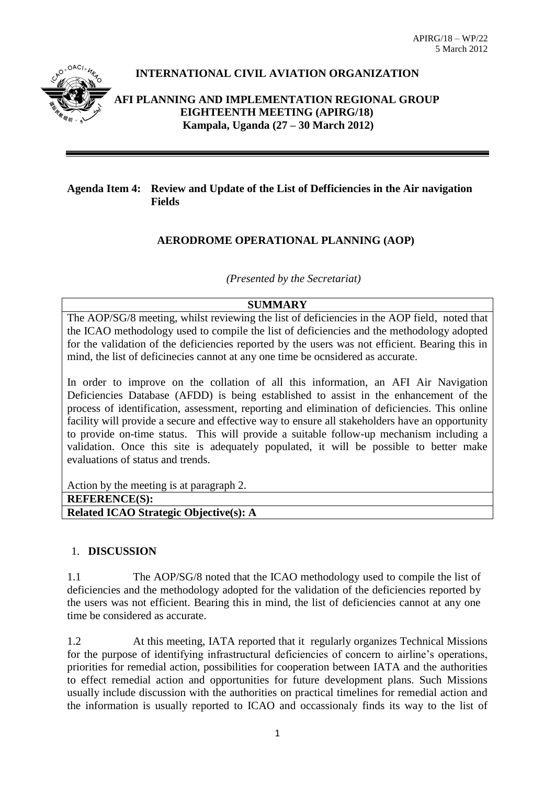

# **INTERNATIONAL CIVIL AVIATION ORGANIZATION**

### **AFI PLANNING AND IMPLEMENTATION REGIONAL GROUP EIGHTEENTH MEETING (APIRG/18) Kampala, Uganda (27 – 30 March 2012)**

## **Agenda Item 4: Review and Update of the List of Defficiencies in the Air navigation Fields**

## **AERODROME OPERATIONAL PLANNING (AOP)**

*(Presented by the Secretariat)* 

#### **SUMMARY**

The AOP/SG/8 meeting, whilst reviewing the list of deficiencies in the AOP field, noted that the ICAO methodology used to compile the list of deficiencies and the methodology adopted for the validation of the deficiencies reported by the users was not efficient. Bearing this in mind, the list of deficinecies cannot at any one time be ocnsidered as accurate.

In order to improve on the collation of all this information, an AFI Air Navigation Deficiencies Database (AFDD) is being established to assist in the enhancement of the process of identification, assessment, reporting and elimination of deficiencies. This online facility will provide a secure and effective way to ensure all stakeholders have an opportunity to provide on-time status. This will provide a suitable follow-up mechanism including a validation. Once this site is adequately populated, it will be possible to better make evaluations of status and trends.

Action by the meeting is at paragraph 2.

| <b>REFERENCE(S):</b> |
|----------------------|
|----------------------|

**Related ICAO Strategic Objective(s): A**

#### 1. **DISCUSSION**

1.1 The AOP/SG/8 noted that the ICAO methodology used to compile the list of deficiencies and the methodology adopted for the validation of the deficiencies reported by the users was not efficient. Bearing this in mind, the list of deficiencies cannot at any one time be considered as accurate.

1.2 At this meeting, IATA reported that it regularly organizes Technical Missions for the purpose of identifying infrastructural deficiencies of concern to airline's operations, priorities for remedial action, possibilities for cooperation between IATA and the authorities to effect remedial action and opportunities for future development plans. Such Missions usually include discussion with the authorities on practical timelines for remedial action and the information is usually reported to ICAO and occassionaly finds its way to the list of